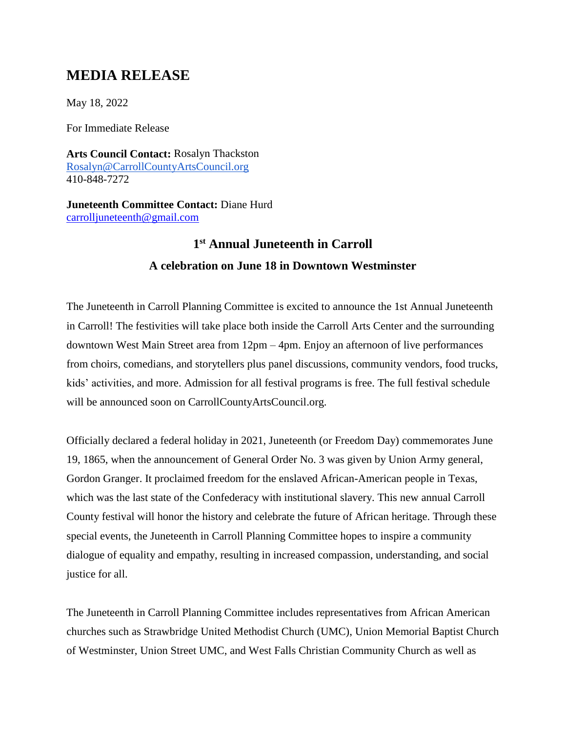## **MEDIA RELEASE**

May 18, 2022

For Immediate Release

**Arts Council Contact:** Rosalyn Thackston [Rosalyn@CarrollCountyArtsCouncil.org](mailto:Rosalyn@CarrollCountyArtsCouncil.org) 410-848-7272

**Juneteenth Committee Contact:** Diane Hurd [carrolljuneteenth@gmail.com](mailto:carrolljuneteenth@gmail.com)

## **1 st Annual Juneteenth in Carroll A celebration on June 18 in Downtown Westminster**

The Juneteenth in Carroll Planning Committee is excited to announce the 1st Annual Juneteenth in Carroll! The festivities will take place both inside the Carroll Arts Center and the surrounding downtown West Main Street area from 12pm – 4pm. Enjoy an afternoon of live performances from choirs, comedians, and storytellers plus panel discussions, community vendors, food trucks, kids' activities, and more. Admission for all festival programs is free. The full festival schedule will be announced soon on CarrollCountyArtsCouncil.org.

Officially declared a federal holiday in 2021, Juneteenth (or Freedom Day) commemorates June 19, 1865, when the announcement of General Order No. 3 was given by Union Army general, Gordon Granger. It proclaimed freedom for the enslaved African-American people in Texas, which was the last state of the Confederacy with institutional slavery. This new annual Carroll County festival will honor the history and celebrate the future of African heritage. Through these special events, the Juneteenth in Carroll Planning Committee hopes to inspire a community dialogue of equality and empathy, resulting in increased compassion, understanding, and social justice for all.

The Juneteenth in Carroll Planning Committee includes representatives from African American churches such as Strawbridge United Methodist Church (UMC), Union Memorial Baptist Church of Westminster, Union Street UMC, and West Falls Christian Community Church as well as